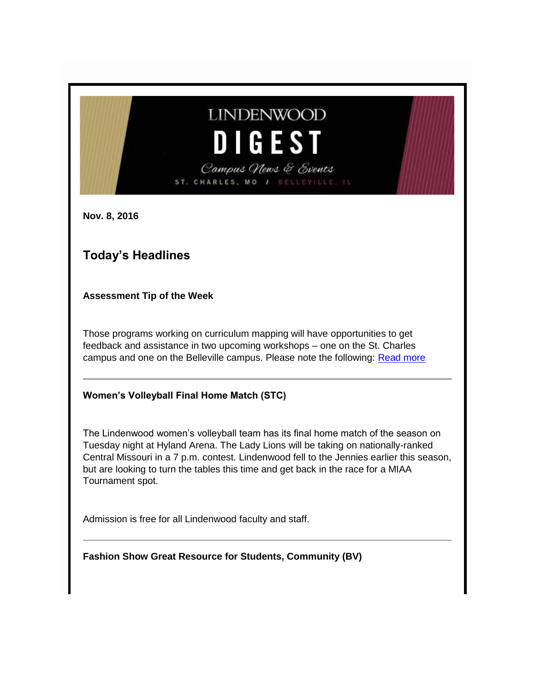# **LINDENWOOD DIGEST** Campus News & Events ST. CHARLES, MO /

**Nov. 8, 2016**

## **Today's Headlines**

**Assessment Tip of the Week**

Those programs working on curriculum mapping will have opportunities to get feedback and assistance in two upcoming workshops – one on the St. Charles campus and one on the Belleville campus. Please note the following: [Read more](http://felix.lindenwood.edu/newsletter/2016_11/assessment_2016_11_08.pdf)

#### **Women's Volleyball Final Home Match (STC)**

The Lindenwood women's volleyball team has its final home match of the season on Tuesday night at Hyland Arena. The Lady Lions will be taking on nationally-ranked Central Missouri in a 7 p.m. contest. Lindenwood fell to the Jennies earlier this season, but are looking to turn the tables this time and get back in the race for a MIAA Tournament spot.

Admission is free for all Lindenwood faculty and staff.

**Fashion Show Great Resource for Students, Community (BV)**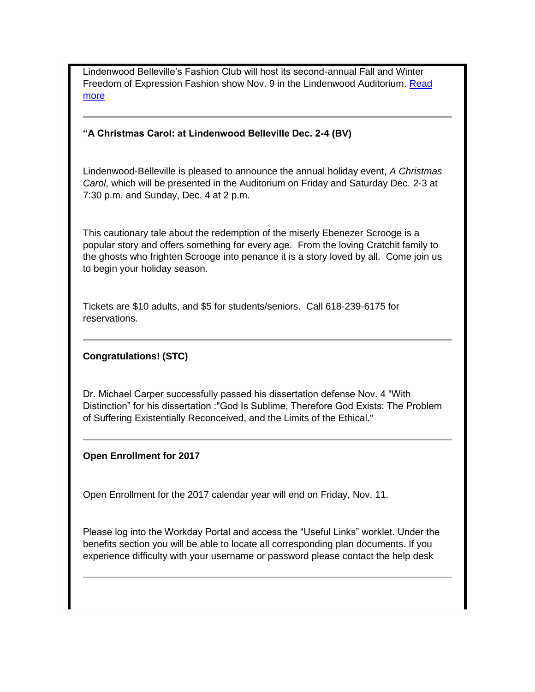Lindenwood Belleville's Fashion Club will host its second-annual Fall and Winter Freedom of Expression Fashion show Nov. 9 in the Lindenwood Auditorium. [Read](http://www.lindenwood.edu/belleville/about/news/details/fashion-show-great-resource-for-students-community/)  [more](http://www.lindenwood.edu/belleville/about/news/details/fashion-show-great-resource-for-students-community/)

#### **"A Christmas Carol: at Lindenwood Belleville Dec. 2-4 (BV)**

Lindenwood-Belleville is pleased to announce the annual holiday event, *A Christmas Carol*, which will be presented in the Auditorium on Friday and Saturday Dec. 2-3 at 7:30 p.m. and Sunday, Dec. 4 at 2 p.m.

This cautionary tale about the redemption of the miserly Ebenezer Scrooge is a popular story and offers something for every age. From the loving Cratchit family to the ghosts who frighten Scrooge into penance it is a story loved by all. Come join us to begin your holiday season.

Tickets are \$10 adults, and \$5 for students/seniors. Call 618-239-6175 for reservations.

#### **Congratulations! (STC)**

Dr. Michael Carper successfully passed his dissertation defense Nov. 4 "With Distinction" for his dissertation :"God Is Sublime, Therefore God Exists: The Problem of Suffering Existentially Reconceived, and the Limits of the Ethical."

#### **Open Enrollment for 2017**

Open Enrollment for the 2017 calendar year will end on Friday, Nov. 11.

Please log into the Workday Portal and access the "Useful Links" worklet. Under the benefits section you will be able to locate all corresponding plan documents. If you experience difficulty with your username or password please contact the help desk